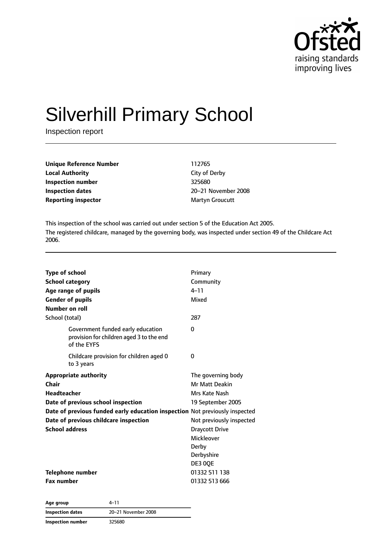

# Silverhill Primary School

Inspection report

| <b>Unique Reference Number</b> | 112765          |  |
|--------------------------------|-----------------|--|
| <b>Local Authority</b>         | City of Derby   |  |
| Inspection number              | 325680          |  |
| <b>Inspection dates</b>        | 20–21 November  |  |
| <b>Reporting inspector</b>     | Martyn Groucutt |  |

**City of Derby Inspection number** 325680 **Inspection dates** 20–21 November 2008

This inspection of the school was carried out under section 5 of the Education Act 2005. The registered childcare, managed by the governing body, was inspected under section 49 of the Childcare Act 2006.

| <b>Type of school</b><br><b>School category</b><br>Age range of pupils<br><b>Gender of pupils</b><br>Number on roll                                                                                                                                | Primary<br>Community<br>$4 - 11$<br>Mixed<br>287                                                                                                                                       |
|----------------------------------------------------------------------------------------------------------------------------------------------------------------------------------------------------------------------------------------------------|----------------------------------------------------------------------------------------------------------------------------------------------------------------------------------------|
| School (total)<br>Government funded early education<br>provision for children aged 3 to the end<br>of the EYFS                                                                                                                                     | O                                                                                                                                                                                      |
| Childcare provision for children aged 0<br>to 3 years                                                                                                                                                                                              | 0                                                                                                                                                                                      |
| <b>Appropriate authority</b><br>Chair<br><b>Headteacher</b><br>Date of previous school inspection<br>Date of previous funded early education inspection Not previously inspected<br>Date of previous childcare inspection<br><b>School address</b> | The governing body<br><b>Mr Matt Deakin</b><br>Mrs Kate Nash<br>19 September 2005<br>Not previously inspected<br><b>Draycott Drive</b><br>Mickleover<br>Derby<br>Derbyshire<br>DE3 0QE |
| Telephone number<br><b>Fax number</b>                                                                                                                                                                                                              | 01332 511 138<br>01332 513 666                                                                                                                                                         |

**Age group** 4–11 **Inspection dates** 20–21 November 2008 **Inspection number** 325680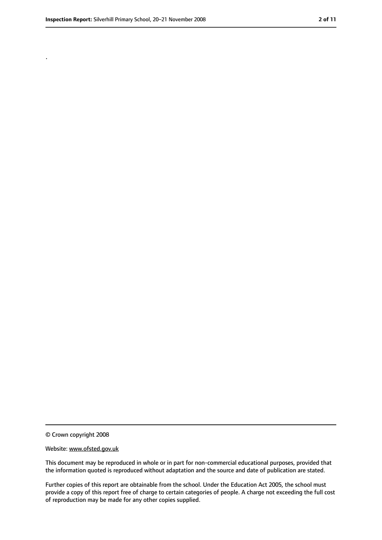.

<sup>©</sup> Crown copyright 2008

Website: www.ofsted.gov.uk

This document may be reproduced in whole or in part for non-commercial educational purposes, provided that the information quoted is reproduced without adaptation and the source and date of publication are stated.

Further copies of this report are obtainable from the school. Under the Education Act 2005, the school must provide a copy of this report free of charge to certain categories of people. A charge not exceeding the full cost of reproduction may be made for any other copies supplied.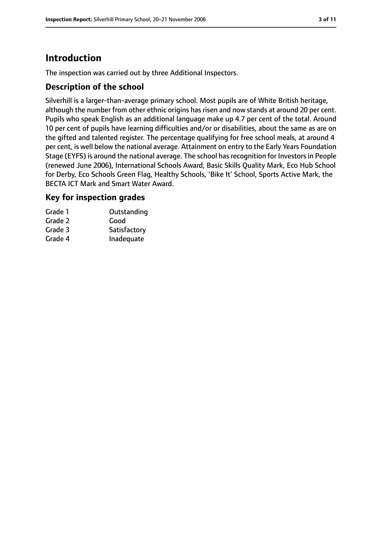# **Introduction**

The inspection was carried out by three Additional Inspectors.

#### **Description of the school**

Silverhill is a larger-than-average primary school. Most pupils are of White British heritage, although the number from other ethnic origins has risen and now stands at around 20 per cent. Pupils who speak English as an additional language make up 4.7 per cent of the total. Around 10 per cent of pupils have learning difficulties and/or or disabilities, about the same as are on the gifted and talented register. The percentage qualifying for free school meals, at around 4 per cent, is well below the national average. Attainment on entry to the Early Years Foundation Stage (EYFS) is around the national average. The school has recognition for Investors in People (renewed June 2006), International Schools Award, Basic Skills Quality Mark, Eco Hub School for Derby, Eco Schools Green Flag, Healthy Schools, 'Bike It' School, Sports Active Mark, the BECTA ICT Mark and Smart Water Award.

#### **Key for inspection grades**

| Outstanding  |
|--------------|
| Good         |
| Satisfactory |
| Inadequate   |
|              |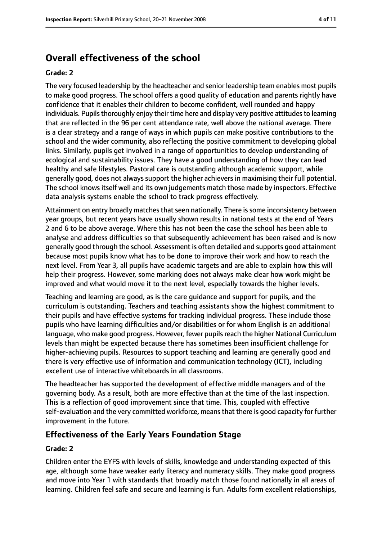# **Overall effectiveness of the school**

#### **Grade: 2**

The very focused leadership by the headteacher and senior leadership team enables most pupils to make good progress. The school offers a good quality of education and parents rightly have confidence that it enables their children to become confident, well rounded and happy individuals. Pupils thoroughly enjoy their time here and display very positive attitudes to learning that are reflected in the 96 per cent attendance rate, well above the national average. There is a clear strategy and a range of ways in which pupils can make positive contributions to the school and the wider community, also reflecting the positive commitment to developing global links. Similarly, pupils get involved in a range of opportunities to develop understanding of ecological and sustainability issues. They have a good understanding of how they can lead healthy and safe lifestyles. Pastoral care is outstanding although academic support, while generally good, does not always support the higher achievers in maximising their full potential. The school knows itself well and its own judgements match those made by inspectors. Effective data analysis systems enable the school to track progress effectively.

Attainment on entry broadly matches that seen nationally. There is some inconsistency between year groups, but recent years have usually shown results in national tests at the end of Years 2 and 6 to be above average. Where this has not been the case the school has been able to analyse and address difficulties so that subsequently achievement has been raised and is now generally good through the school. Assessment is often detailed and supports good attainment because most pupils know what has to be done to improve their work and how to reach the next level. From Year 3, all pupils have academic targets and are able to explain how this will help their progress. However, some marking does not always make clear how work might be improved and what would move it to the next level, especially towards the higher levels.

Teaching and learning are good, as is the care guidance and support for pupils, and the curriculum is outstanding. Teachers and teaching assistants show the highest commitment to their pupils and have effective systems for tracking individual progress. These include those pupils who have learning difficulties and/or disabilities or for whom English is an additional language, who make good progress. However, fewer pupils reach the higher National Curriculum levels than might be expected because there has sometimes been insufficient challenge for higher-achieving pupils. Resources to support teaching and learning are generally good and there is very effective use of information and communication technology (ICT), including excellent use of interactive whiteboards in all classrooms.

The headteacher has supported the development of effective middle managers and of the governing body. As a result, both are more effective than at the time of the last inspection. This is a reflection of good improvement since that time. This, coupled with effective self-evaluation and the very committed workforce, meansthat there is good capacity for further improvement in the future.

#### **Effectiveness of the Early Years Foundation Stage**

#### **Grade: 2**

Children enter the EYFS with levels of skills, knowledge and understanding expected of this age, although some have weaker early literacy and numeracy skills. They make good progress and move into Year 1 with standards that broadly match those found nationally in all areas of learning. Children feel safe and secure and learning is fun. Adults form excellent relationships,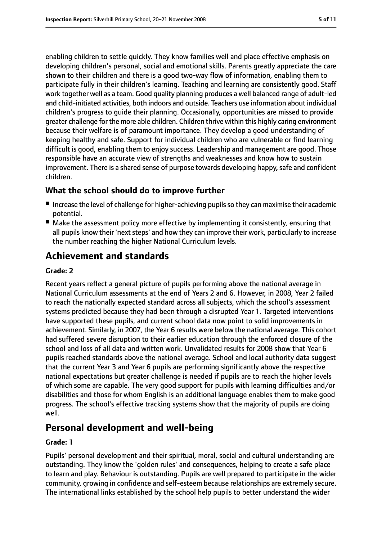enabling children to settle quickly. They know families well and place effective emphasis on developing children's personal, social and emotional skills. Parents greatly appreciate the care shown to their children and there is a good two-way flow of information, enabling them to participate fully in their children's learning. Teaching and learning are consistently good. Staff work together well as a team. Good quality planning produces a well balanced range of adult-led and child-initiated activities, both indoors and outside. Teachers use information about individual children's progress to guide their planning. Occasionally, opportunities are missed to provide greater challenge for the more able children. Children thrive within this highly caring environment because their welfare is of paramount importance. They develop a good understanding of keeping healthy and safe. Support for individual children who are vulnerable or find learning difficult is good, enabling them to enjoy success. Leadership and management are good. Those responsible have an accurate view of strengths and weaknesses and know how to sustain improvement. There is a shared sense of purpose towards developing happy, safe and confident children.

#### **What the school should do to improve further**

- Increase the level of challenge for higher-achieving pupils so they can maximise their academic potential.
- Make the assessment policy more effective by implementing it consistently, ensuring that all pupils know their 'next steps' and how they can improve their work, particularly to increase the number reaching the higher National Curriculum levels.

# **Achievement and standards**

#### **Grade: 2**

Recent years reflect a general picture of pupils performing above the national average in National Curriculum assessments at the end of Years 2 and 6. However, in 2008, Year 2 failed to reach the nationally expected standard across all subjects, which the school's assessment systems predicted because they had been through a disrupted Year 1. Targeted interventions have supported these pupils, and current school data now point to solid improvements in achievement. Similarly, in 2007, the Year 6 results were below the national average. This cohort had suffered severe disruption to their earlier education through the enforced closure of the school and loss of all data and written work. Unvalidated results for 2008 show that Year 6 pupils reached standards above the national average. School and local authority data suggest that the current Year 3 and Year 6 pupils are performing significantly above the respective national expectations but greater challenge is needed if pupils are to reach the higher levels of which some are capable. The very good support for pupils with learning difficulties and/or disabilities and those for whom English is an additional language enables them to make good progress. The school's effective tracking systems show that the majority of pupils are doing well.

# **Personal development and well-being**

#### **Grade: 1**

Pupils' personal development and their spiritual, moral, social and cultural understanding are outstanding. They know the 'golden rules' and consequences, helping to create a safe place to learn and play. Behaviour is outstanding. Pupils are well prepared to participate in the wider community, growing in confidence and self-esteem because relationships are extremely secure. The international links established by the school help pupils to better understand the wider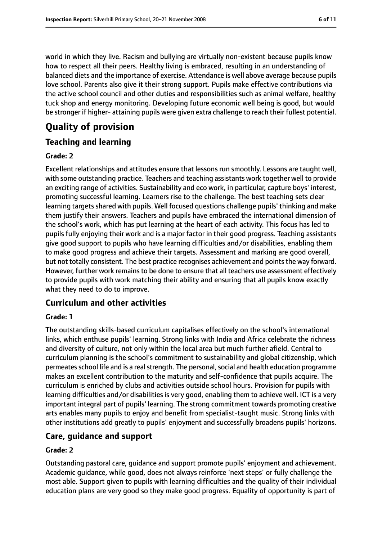world in which they live. Racism and bullying are virtually non-existent because pupils know how to respect all their peers. Healthy living is embraced, resulting in an understanding of balanced diets and the importance of exercise. Attendance is well above average because pupils love school. Parents also give it their strong support. Pupils make effective contributions via the active school council and other duties and responsibilities such as animal welfare, healthy tuck shop and energy monitoring. Developing future economic well being is good, but would be stronger if higher- attaining pupils were given extra challenge to reach their fullest potential.

# **Quality of provision**

#### **Teaching and learning**

#### **Grade: 2**

Excellent relationships and attitudes ensure that lessons run smoothly. Lessons are taught well, with some outstanding practice. Teachers and teaching assistants work together well to provide an exciting range of activities. Sustainability and eco work, in particular, capture boys' interest, promoting successful learning. Learners rise to the challenge. The best teaching sets clear learning targets shared with pupils. Well focused questions challenge pupils' thinking and make them justify their answers. Teachers and pupils have embraced the international dimension of the school's work, which has put learning at the heart of each activity. This focus has led to pupils fully enjoying their work and is a major factor in their good progress. Teaching assistants give good support to pupils who have learning difficulties and/or disabilities, enabling them to make good progress and achieve their targets. Assessment and marking are good overall, but not totally consistent. The best practice recognises achievement and points the way forward. However, further work remains to be done to ensure that all teachers use assessment effectively to provide pupils with work matching their ability and ensuring that all pupils know exactly what they need to do to improve.

#### **Curriculum and other activities**

#### **Grade: 1**

The outstanding skills-based curriculum capitalises effectively on the school's international links, which enthuse pupils' learning. Strong links with India and Africa celebrate the richness and diversity of culture, not only within the local area but much further afield. Central to curriculum planning is the school's commitment to sustainability and global citizenship, which permeates school life and is a real strength. The personal, social and health education programme makes an excellent contribution to the maturity and self-confidence that pupils acquire. The curriculum is enriched by clubs and activities outside school hours. Provision for pupils with learning difficulties and/or disabilities is very good, enabling them to achieve well. ICT is a very important integral part of pupils' learning. The strong commitment towards promoting creative arts enables many pupils to enjoy and benefit from specialist-taught music. Strong links with other institutions add greatly to pupils' enjoyment and successfully broadens pupils' horizons.

#### **Care, guidance and support**

#### **Grade: 2**

Outstanding pastoral care, guidance and support promote pupils' enjoyment and achievement. Academic guidance, while good, does not always reinforce 'next steps' or fully challenge the most able. Support given to pupils with learning difficulties and the quality of their individual education plans are very good so they make good progress. Equality of opportunity is part of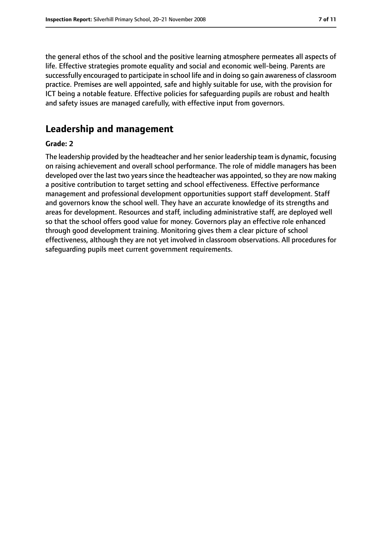the general ethos of the school and the positive learning atmosphere permeates all aspects of life. Effective strategies promote equality and social and economic well-being. Parents are successfully encouraged to participate in school life and in doing so gain awareness of classroom practice. Premises are well appointed, safe and highly suitable for use, with the provision for ICT being a notable feature. Effective policies for safeguarding pupils are robust and health and safety issues are managed carefully, with effective input from governors.

## **Leadership and management**

#### **Grade: 2**

The leadership provided by the headteacher and her senior leadership team is dynamic, focusing on raising achievement and overall school performance. The role of middle managers has been developed over the last two years since the headteacher was appointed, so they are now making a positive contribution to target setting and school effectiveness. Effective performance management and professional development opportunities support staff development. Staff and governors know the school well. They have an accurate knowledge of its strengths and areas for development. Resources and staff, including administrative staff, are deployed well so that the school offers good value for money. Governors play an effective role enhanced through good development training. Monitoring gives them a clear picture of school effectiveness, although they are not yet involved in classroom observations. All procedures for safeguarding pupils meet current government requirements.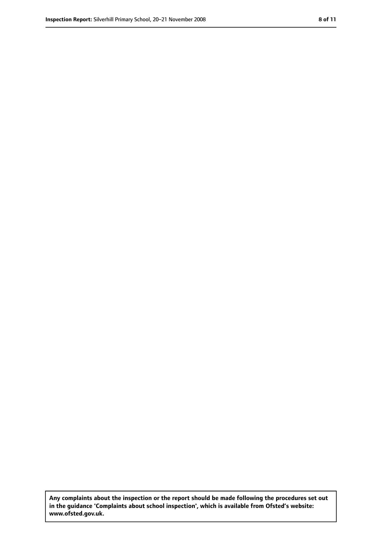**Any complaints about the inspection or the report should be made following the procedures set out in the guidance 'Complaints about school inspection', which is available from Ofsted's website: www.ofsted.gov.uk.**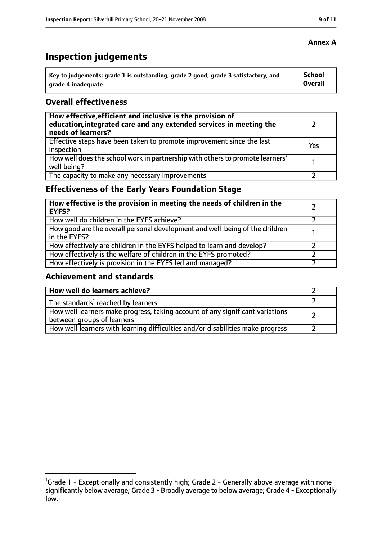# **Inspection judgements**

| Key to judgements: grade 1 is outstanding, grade 2 good, grade 3 satisfactory, and | <b>School</b>  |
|------------------------------------------------------------------------------------|----------------|
| arade 4 inadequate                                                                 | <b>Overall</b> |

#### **Overall effectiveness**

| How effective, efficient and inclusive is the provision of<br>education, integrated care and any extended services in meeting the<br>needs of learners? |     |
|---------------------------------------------------------------------------------------------------------------------------------------------------------|-----|
| Effective steps have been taken to promote improvement since the last<br>inspection                                                                     | Yes |
| How well does the school work in partnership with others to promote learners'<br>well being?                                                            |     |
| The capacity to make any necessary improvements                                                                                                         |     |

### **Effectiveness of the Early Years Foundation Stage**

| How effective is the provision in meeting the needs of children in the<br><b>EYFS?</b>       |  |
|----------------------------------------------------------------------------------------------|--|
| How well do children in the EYFS achieve?                                                    |  |
| How good are the overall personal development and well-being of the children<br>in the EYFS? |  |
| How effectively are children in the EYFS helped to learn and develop?                        |  |
| How effectively is the welfare of children in the EYFS promoted?                             |  |
| How effectively is provision in the EYFS led and managed?                                    |  |

#### **Achievement and standards**

| How well do learners achieve?                                                                               |  |
|-------------------------------------------------------------------------------------------------------------|--|
| The standards <sup>1</sup> reached by learners                                                              |  |
| How well learners make progress, taking account of any significant variations<br>between groups of learners |  |
| How well learners with learning difficulties and/or disabilities make progress                              |  |

<sup>&</sup>lt;sup>1</sup>Grade 1 - Exceptionally and consistently high; Grade 2 - Generally above average with none significantly below average; Grade 3 - Broadly average to below average; Grade 4 - Exceptionally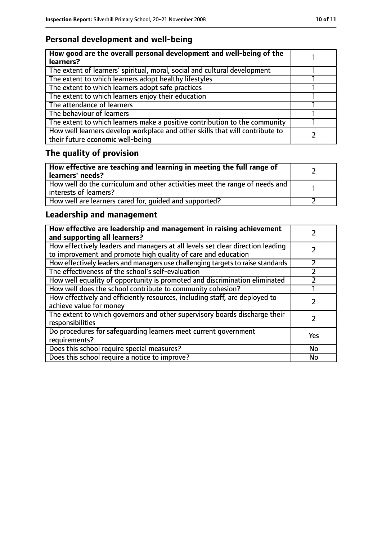### **Personal development and well-being**

| How good are the overall personal development and well-being of the<br>learners?                                 |  |
|------------------------------------------------------------------------------------------------------------------|--|
| The extent of learners' spiritual, moral, social and cultural development                                        |  |
| The extent to which learners adopt healthy lifestyles                                                            |  |
| The extent to which learners adopt safe practices                                                                |  |
| The extent to which learners enjoy their education                                                               |  |
| The attendance of learners                                                                                       |  |
| The behaviour of learners                                                                                        |  |
| The extent to which learners make a positive contribution to the community                                       |  |
| How well learners develop workplace and other skills that will contribute to<br>their future economic well-being |  |

# **The quality of provision**

| How effective are teaching and learning in meeting the full range of<br>learners' needs?              |  |
|-------------------------------------------------------------------------------------------------------|--|
| How well do the curriculum and other activities meet the range of needs and<br>interests of learners? |  |
| How well are learners cared for, quided and supported?                                                |  |

### **Leadership and management**

| How effective are leadership and management in raising achievement<br>and supporting all learners?                                              |           |
|-------------------------------------------------------------------------------------------------------------------------------------------------|-----------|
| How effectively leaders and managers at all levels set clear direction leading<br>to improvement and promote high quality of care and education |           |
| How effectively leaders and managers use challenging targets to raise standards                                                                 |           |
| The effectiveness of the school's self-evaluation                                                                                               |           |
| How well equality of opportunity is promoted and discrimination eliminated                                                                      |           |
| How well does the school contribute to community cohesion?                                                                                      |           |
| How effectively and efficiently resources, including staff, are deployed to<br>achieve value for money                                          |           |
| The extent to which governors and other supervisory boards discharge their<br>responsibilities                                                  |           |
| Do procedures for safequarding learners meet current government<br>requirements?                                                                | Yes       |
| Does this school require special measures?                                                                                                      | No        |
| Does this school require a notice to improve?                                                                                                   | <b>No</b> |